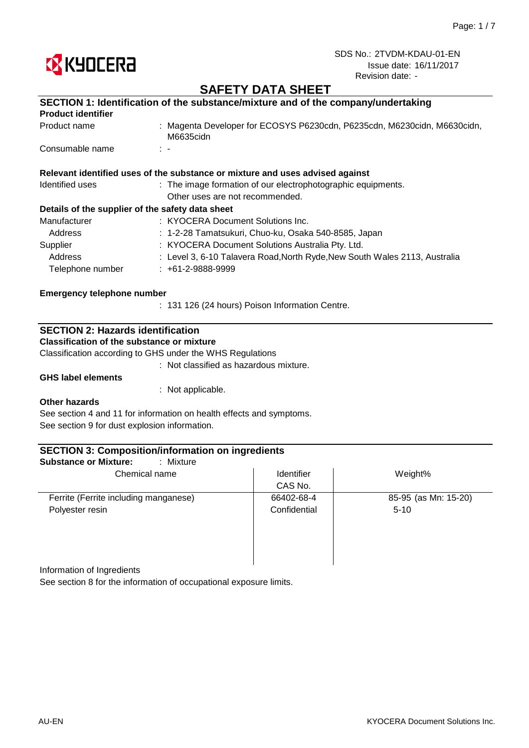

# **SAFETY DATA SHEET**

| SECTION 1: Identification of the substance/mixture and of the company/undertaking |                                                                                       |  |
|-----------------------------------------------------------------------------------|---------------------------------------------------------------------------------------|--|
| <b>Product identifier</b>                                                         |                                                                                       |  |
| Product name                                                                      | : Magenta Developer for ECOSYS P6230cdn, P6235cdn, M6230cidn, M6630cidn,<br>M6635cidn |  |
| Consumable name                                                                   | $\mathbb{R}^n$                                                                        |  |
|                                                                                   | Relevant identified uses of the substance or mixture and uses advised against         |  |
| Identified uses                                                                   | : The image formation of our electrophotographic equipments.                          |  |
|                                                                                   | Other uses are not recommended.                                                       |  |
| Details of the supplier of the safety data sheet                                  |                                                                                       |  |
| Manufacturer                                                                      | : KYOCERA Document Solutions Inc.                                                     |  |
| Address                                                                           | : 1-2-28 Tamatsukuri, Chuo-ku, Osaka 540-8585, Japan                                  |  |
| Supplier                                                                          | : KYOCERA Document Solutions Australia Pty. Ltd.                                      |  |
| Address                                                                           | : Level 3, 6-10 Talavera Road, North Ryde, New South Wales 2113, Australia            |  |
| Telephone number                                                                  | $: +61-2-9888-9999$                                                                   |  |

#### **Emergency telephone number**

: 131 126 (24 hours) Poison Information Centre.

## **SECTION 2: Hazards identification**

**Classification of the substance or mixture**

Classification according to GHS under the WHS Regulations

: Not classified as hazardous mixture.

### **GHS label elements**

: Not applicable.

#### **Other hazards**

See section 4 and 11 for information on health effects and symptoms. See section 9 for dust explosion information.

| <b>SECTION 3: Composition/information on ingredients</b><br>: Mixture<br><b>Substance or Mixture:</b> |                   |                      |
|-------------------------------------------------------------------------------------------------------|-------------------|----------------------|
| Chemical name                                                                                         | <b>Identifier</b> | Weight%              |
|                                                                                                       | CAS No.           |                      |
| Ferrite (Ferrite including manganese)                                                                 | 66402-68-4        | 85-95 (as Mn: 15-20) |
| Polyester resin                                                                                       | Confidential      | $5 - 10$             |
|                                                                                                       |                   |                      |
|                                                                                                       |                   |                      |
|                                                                                                       |                   |                      |
|                                                                                                       |                   |                      |

Information of Ingredients

See section 8 for the information of occupational exposure limits.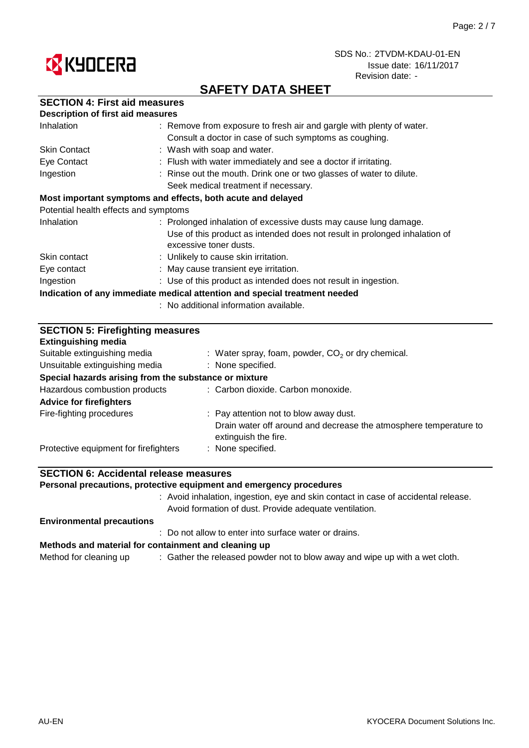



# **SAFETY DATA SHEET**

|  |  | <b>SECTION 4: First aid measures</b> |
|--|--|--------------------------------------|
|--|--|--------------------------------------|

| <b>Description of first aid measures</b> |                                                                                                      |
|------------------------------------------|------------------------------------------------------------------------------------------------------|
| Inhalation                               | : Remove from exposure to fresh air and gargle with plenty of water.                                 |
|                                          | Consult a doctor in case of such symptoms as coughing.                                               |
| <b>Skin Contact</b>                      | : Wash with soap and water.                                                                          |
| Eye Contact                              | : Flush with water immediately and see a doctor if irritating.                                       |
| Ingestion                                | : Rinse out the mouth. Drink one or two glasses of water to dilute.                                  |
|                                          | Seek medical treatment if necessary.                                                                 |
|                                          | Most important symptoms and effects, both acute and delayed                                          |
| Potential health effects and symptoms    |                                                                                                      |
| Inhalation                               | : Prolonged inhalation of excessive dusts may cause lung damage.                                     |
|                                          | Use of this product as intended does not result in prolonged inhalation of<br>excessive toner dusts. |
| Skin contact                             | : Unlikely to cause skin irritation.                                                                 |
| Eye contact                              | : May cause transient eye irritation.                                                                |
| Ingestion                                | : Use of this product as intended does not result in ingestion.                                      |
|                                          | Indication of any immediate medical attention and special treatment needed                           |
|                                          | : No additional information available.                                                               |

| <b>SECTION 5: Firefighting measures</b>               |                                                                                           |  |
|-------------------------------------------------------|-------------------------------------------------------------------------------------------|--|
| <b>Extinguishing media</b>                            |                                                                                           |  |
| Suitable extinguishing media                          | : Water spray, foam, powder, $CO2$ or dry chemical.                                       |  |
| Unsuitable extinguishing media                        | : None specified.                                                                         |  |
| Special hazards arising from the substance or mixture |                                                                                           |  |
| Hazardous combustion products                         | : Carbon dioxide. Carbon monoxide.                                                        |  |
| <b>Advice for firefighters</b>                        |                                                                                           |  |
| Fire-fighting procedures                              | : Pay attention not to blow away dust.                                                    |  |
|                                                       | Drain water off around and decrease the atmosphere temperature to<br>extinguish the fire. |  |
| Protective equipment for firefighters                 | : None specified.                                                                         |  |

## **SECTION 6: Accidental release measures**

**Personal precautions, protective equipment and emergency procedures**

: Avoid inhalation, ingestion, eye and skin contact in case of accidental release. Avoid formation of dust. Provide adequate ventilation.

#### **Environmental precautions**

: Do not allow to enter into surface water or drains.

#### **Methods and material for containment and cleaning up**

Method for cleaning up  $\qquad \qquad :$  Gather the released powder not to blow away and wipe up with a wet cloth.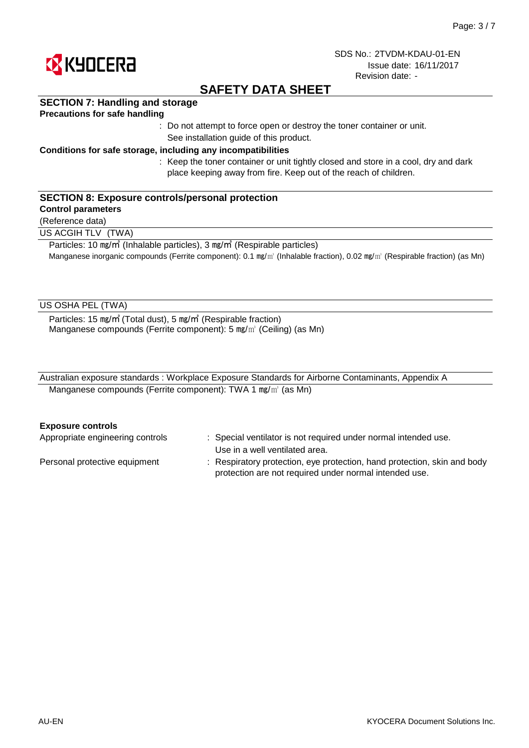

# **SAFETY DATA SHEET**

## **SECTION 7: Handling and storage**

#### **Precautions for safe handling**

: Do not attempt to force open or destroy the toner container or unit. See installation guide of this product.

#### **Conditions for safe storage, including any incompatibilities**

: Keep the toner container or unit tightly closed and store in a cool, dry and dark place keeping away from fire. Keep out of the reach of children.

### **SECTION 8: Exposure controls/personal protection**

### **Control parameters**

(Reference data)

US ACGIH TLV (TWA)

Particles: 10 ㎎/㎥ (Inhalable particles), 3 ㎎/㎥ (Respirable particles) Manganese inorganic compounds (Ferrite component): 0.1  $mg/m$  (Inhalable fraction), 0.02 mg/m<sup>3</sup> (Respirable fraction) (as Mn)

### US OSHA PEL (TWA)

Particles: 15 ㎎/㎥ (Total dust), 5 ㎎/㎥ (Respirable fraction) Manganese compounds (Ferrite component): 5 mg/m<sup>3</sup> (Ceiling) (as Mn)

| Australian exposure standards: Workplace Exposure Standards for Airborne Contaminants, Appendix A |  |
|---------------------------------------------------------------------------------------------------|--|
| Manganese compounds (Ferrite component): TWA 1 $mg/m3$ (as Mn)                                    |  |

#### **Exposure controls**

| Appropriate engineering controls | : Special ventilator is not required under normal intended use.          |
|----------------------------------|--------------------------------------------------------------------------|
|                                  | Use in a well ventilated area.                                           |
| Personal protective equipment    | : Respiratory protection, eye protection, hand protection, skin and body |
|                                  | protection are not required under normal intended use.                   |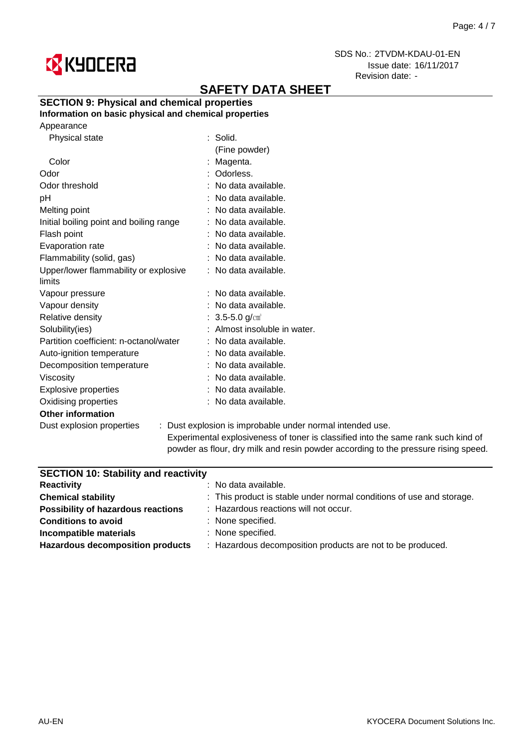

# **SAFETY DATA SHEET**

# **SECTION 9: Physical and chemical properties**

## **Information on basic physical and chemical properties**

|  | Appearance |
|--|------------|
|--|------------|

| Physical state                          | $:$ Solid.                                                                                                      |
|-----------------------------------------|-----------------------------------------------------------------------------------------------------------------|
|                                         | (Fine powder)                                                                                                   |
| Color                                   | Magenta.                                                                                                        |
| Odor                                    | Odorless.                                                                                                       |
| Odor threshold                          | No data available.                                                                                              |
| pH                                      | No data available.                                                                                              |
| Melting point                           | No data available.                                                                                              |
| Initial boiling point and boiling range | No data available.                                                                                              |
| Flash point                             | : No data available.                                                                                            |
| Evaporation rate                        | No data available.                                                                                              |
| Flammability (solid, gas)               | : No data available.                                                                                            |
| Upper/lower flammability or explosive   | : No data available.                                                                                            |
| limits                                  |                                                                                                                 |
| Vapour pressure                         | : No data available.                                                                                            |
| Vapour density                          | : No data available.                                                                                            |
| Relative density                        | : $3.5 - 5.0$ g/cm <sup>3</sup>                                                                                 |
| Solubility(ies)                         | : Almost insoluble in water.                                                                                    |
| Partition coefficient: n-octanol/water  | : No data available.                                                                                            |
| Auto-ignition temperature               | : No data available.                                                                                            |
| Decomposition temperature               | : No data available.                                                                                            |
| Viscosity                               | : No data available.                                                                                            |
| <b>Explosive properties</b>             | : No data available.                                                                                            |
| Oxidising properties                    | : No data available.                                                                                            |
| <b>Other information</b>                |                                                                                                                 |
| Dust explosion properties               | : Dust explosion is improbable under normal intended use.                                                       |
|                                         | a de la constitución de la constitución de la constitución de la constitución de la constitución de la constitu |

Experimental explosiveness of toner is classified into the same rank such kind of powder as flour, dry milk and resin powder according to the pressure rising speed.

| $:$ No data available.<br><b>Reactivity</b><br>: This product is stable under normal conditions of use and storage.<br><b>Chemical stability</b><br>: Hazardous reactions will not occur.<br><b>Possibility of hazardous reactions</b><br><b>Conditions to avoid</b><br>: None specified.<br>Incompatible materials<br>: None specified.<br>: Hazardous decomposition products are not to be produced.<br><b>Hazardous decomposition products</b> | <b>SECTION 10: Stability and reactivity</b> |  |
|---------------------------------------------------------------------------------------------------------------------------------------------------------------------------------------------------------------------------------------------------------------------------------------------------------------------------------------------------------------------------------------------------------------------------------------------------|---------------------------------------------|--|
|                                                                                                                                                                                                                                                                                                                                                                                                                                                   |                                             |  |
|                                                                                                                                                                                                                                                                                                                                                                                                                                                   |                                             |  |
|                                                                                                                                                                                                                                                                                                                                                                                                                                                   |                                             |  |
|                                                                                                                                                                                                                                                                                                                                                                                                                                                   |                                             |  |
|                                                                                                                                                                                                                                                                                                                                                                                                                                                   |                                             |  |
|                                                                                                                                                                                                                                                                                                                                                                                                                                                   |                                             |  |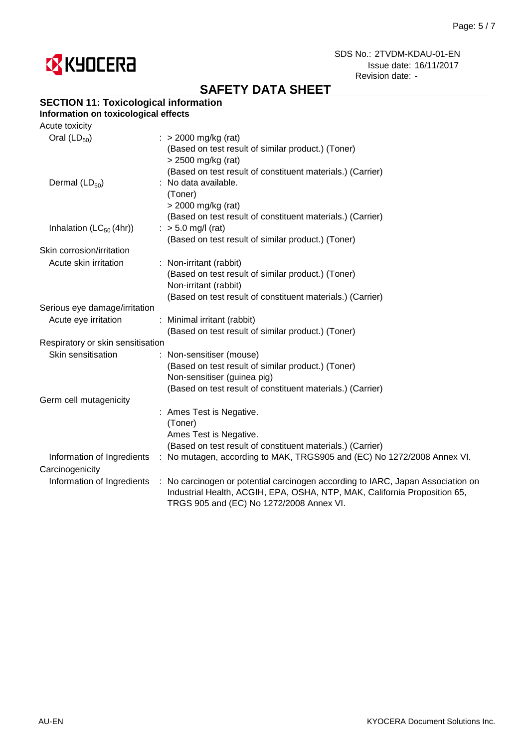

# **SAFETY DATA SHEET**

## **SECTION 11: Toxicological information**

#### **Information on toxicological effects** Acute toxicity

| <b>ACULE LOXICITY</b>             |                                                                                                                                                                                                          |
|-----------------------------------|----------------------------------------------------------------------------------------------------------------------------------------------------------------------------------------------------------|
| Oral $(LD_{50})$                  | $\therefore$ > 2000 mg/kg (rat)<br>(Based on test result of similar product.) (Toner)                                                                                                                    |
|                                   | > 2500 mg/kg (rat)                                                                                                                                                                                       |
|                                   | (Based on test result of constituent materials.) (Carrier)                                                                                                                                               |
| Dermal $(LD_{50})$                | No data available.                                                                                                                                                                                       |
|                                   | (Toner)                                                                                                                                                                                                  |
|                                   | > 2000 mg/kg (rat)                                                                                                                                                                                       |
|                                   | (Based on test result of constituent materials.) (Carrier)                                                                                                                                               |
| Inhalation $(LC_{50}(4hr))$       | : $> 5.0$ mg/l (rat)                                                                                                                                                                                     |
|                                   | (Based on test result of similar product.) (Toner)                                                                                                                                                       |
| Skin corrosion/irritation         |                                                                                                                                                                                                          |
| Acute skin irritation             | : Non-irritant (rabbit)                                                                                                                                                                                  |
|                                   | (Based on test result of similar product.) (Toner)                                                                                                                                                       |
|                                   | Non-irritant (rabbit)                                                                                                                                                                                    |
|                                   | (Based on test result of constituent materials.) (Carrier)                                                                                                                                               |
| Serious eye damage/irritation     |                                                                                                                                                                                                          |
| Acute eye irritation              | : Minimal irritant (rabbit)                                                                                                                                                                              |
|                                   | (Based on test result of similar product.) (Toner)                                                                                                                                                       |
| Respiratory or skin sensitisation |                                                                                                                                                                                                          |
| Skin sensitisation                | Non-sensitiser (mouse)<br>÷.                                                                                                                                                                             |
|                                   | (Based on test result of similar product.) (Toner)                                                                                                                                                       |
|                                   | Non-sensitiser (guinea pig)                                                                                                                                                                              |
|                                   | (Based on test result of constituent materials.) (Carrier)                                                                                                                                               |
| Germ cell mutagenicity            |                                                                                                                                                                                                          |
|                                   | : Ames Test is Negative.                                                                                                                                                                                 |
|                                   | (Toner)                                                                                                                                                                                                  |
|                                   | Ames Test is Negative.                                                                                                                                                                                   |
|                                   | (Based on test result of constituent materials.) (Carrier)                                                                                                                                               |
| Information of Ingredients        | No mutagen, according to MAK, TRGS905 and (EC) No 1272/2008 Annex VI.<br>÷                                                                                                                               |
| Carcinogenicity                   |                                                                                                                                                                                                          |
| Information of Ingredients        | : No carcinogen or potential carcinogen according to IARC, Japan Association on<br>Industrial Health, ACGIH, EPA, OSHA, NTP, MAK, California Proposition 65,<br>TRGS 905 and (EC) No 1272/2008 Annex VI. |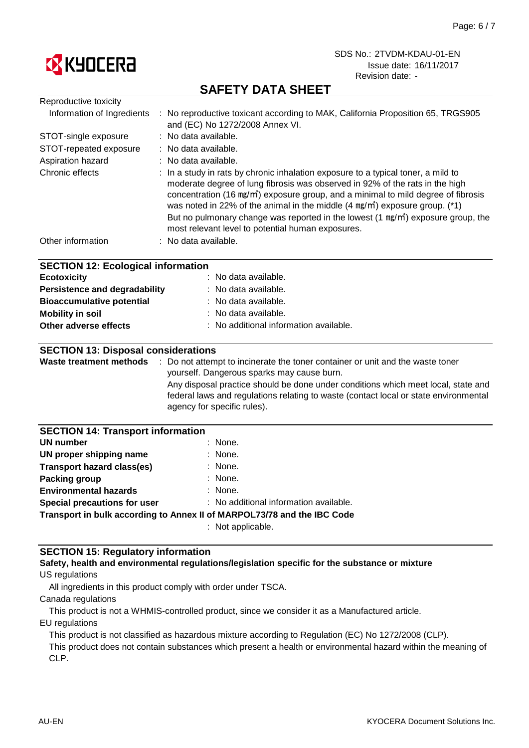

# **SAFETY DATA SHEET**

| Reproductive toxicity                                                        |                                                                                                                                                                                                                                                                                                                                                                                                                                                                                                                     |
|------------------------------------------------------------------------------|---------------------------------------------------------------------------------------------------------------------------------------------------------------------------------------------------------------------------------------------------------------------------------------------------------------------------------------------------------------------------------------------------------------------------------------------------------------------------------------------------------------------|
| Information of Ingredients                                                   | : No reproductive toxicant according to MAK, California Proposition 65, TRGS905<br>and (EC) No 1272/2008 Annex VI.                                                                                                                                                                                                                                                                                                                                                                                                  |
| STOT-single exposure                                                         | : No data available.                                                                                                                                                                                                                                                                                                                                                                                                                                                                                                |
| STOT-repeated exposure                                                       | : No data available.                                                                                                                                                                                                                                                                                                                                                                                                                                                                                                |
| Aspiration hazard                                                            | : No data available.                                                                                                                                                                                                                                                                                                                                                                                                                                                                                                |
| Chronic effects                                                              | : In a study in rats by chronic inhalation exposure to a typical toner, a mild to<br>moderate degree of lung fibrosis was observed in 92% of the rats in the high<br>concentration (16 mg/m <sup>3</sup> ) exposure group, and a minimal to mild degree of fibrosis<br>was noted in 22% of the animal in the middle $(4 \text{ mg/m}^3)$ exposure group. (*1)<br>But no pulmonary change was reported in the lowest (1 mg/m <sup>3</sup> ) exposure group, the<br>most relevant level to potential human exposures. |
| Other information                                                            | : No data available.                                                                                                                                                                                                                                                                                                                                                                                                                                                                                                |
|                                                                              |                                                                                                                                                                                                                                                                                                                                                                                                                                                                                                                     |
| <b>SECTION 12: Ecological information</b>                                    |                                                                                                                                                                                                                                                                                                                                                                                                                                                                                                                     |
| <b>Ecotoxicity</b>                                                           | No data available.                                                                                                                                                                                                                                                                                                                                                                                                                                                                                                  |
| <b>Persistence and degradability</b>                                         | No data available.                                                                                                                                                                                                                                                                                                                                                                                                                                                                                                  |
| <b>Bioaccumulative potential</b>                                             | No data available.                                                                                                                                                                                                                                                                                                                                                                                                                                                                                                  |
| <b>Mobility in soil</b>                                                      | No data available.                                                                                                                                                                                                                                                                                                                                                                                                                                                                                                  |
| Other adverse effects                                                        | : No additional information available.                                                                                                                                                                                                                                                                                                                                                                                                                                                                              |
|                                                                              |                                                                                                                                                                                                                                                                                                                                                                                                                                                                                                                     |
| <b>SECTION 13: Disposal considerations</b><br><b>Waste treatment methods</b> | : Do not attempt to incinerate the toner container or unit and the waste toner                                                                                                                                                                                                                                                                                                                                                                                                                                      |
|                                                                              | yourself. Dangerous sparks may cause burn.                                                                                                                                                                                                                                                                                                                                                                                                                                                                          |
|                                                                              | Any disposal practice should be done under conditions which meet local, state and                                                                                                                                                                                                                                                                                                                                                                                                                                   |
|                                                                              | federal laws and regulations relating to waste (contact local or state environmental                                                                                                                                                                                                                                                                                                                                                                                                                                |
|                                                                              | agency for specific rules).                                                                                                                                                                                                                                                                                                                                                                                                                                                                                         |
|                                                                              |                                                                                                                                                                                                                                                                                                                                                                                                                                                                                                                     |
| <b>SECTION 14: Transport information</b>                                     |                                                                                                                                                                                                                                                                                                                                                                                                                                                                                                                     |
| UN number                                                                    | None.                                                                                                                                                                                                                                                                                                                                                                                                                                                                                                               |
| UN proper shipping name                                                      | None.                                                                                                                                                                                                                                                                                                                                                                                                                                                                                                               |
| <b>Transport hazard class(es)</b>                                            | None.                                                                                                                                                                                                                                                                                                                                                                                                                                                                                                               |
| <b>Packing group</b>                                                         | None.                                                                                                                                                                                                                                                                                                                                                                                                                                                                                                               |
| <b>Environmental hazards</b>                                                 | : None.                                                                                                                                                                                                                                                                                                                                                                                                                                                                                                             |
| Special precautions for user                                                 | : No additional information available.                                                                                                                                                                                                                                                                                                                                                                                                                                                                              |
|                                                                              | Transport in bulk according to Annex II of MARPOL73/78 and the IBC Code                                                                                                                                                                                                                                                                                                                                                                                                                                             |

: Not applicable.

## **SECTION 15: Regulatory information**

### US regulations **Safety, health and environmental regulations/legislation specific for the substance or mixture**

All ingredients in this product comply with order under TSCA.

Canada regulations

This product is not a WHMIS-controlled product, since we consider it as a Manufactured article.

EU regulations

This product is not classified as hazardous mixture according to Regulation (EC) No 1272/2008 (CLP).

This product does not contain substances which present a health or environmental hazard within the meaning of CLP.